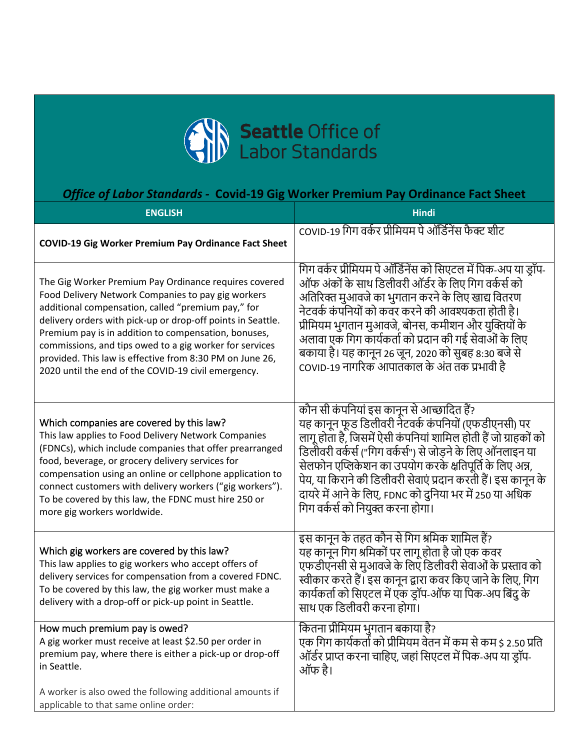

## *Office of Labor Standards -* **Covid-19 Gig Worker Premium Pay Ordinance Fact Sheet**

| <b>ENGLISH</b>                                                                                                                                                                                                                                                                                                                                                                                                                                                         | <b>Hindi</b>                                                                                                                                                                                                                                                                                                                                                                                                                                                   |
|------------------------------------------------------------------------------------------------------------------------------------------------------------------------------------------------------------------------------------------------------------------------------------------------------------------------------------------------------------------------------------------------------------------------------------------------------------------------|----------------------------------------------------------------------------------------------------------------------------------------------------------------------------------------------------------------------------------------------------------------------------------------------------------------------------------------------------------------------------------------------------------------------------------------------------------------|
| <b>COVID-19 Gig Worker Premium Pay Ordinance Fact Sheet</b>                                                                                                                                                                                                                                                                                                                                                                                                            | COVID-19 गिग वर्कर प्रीमियम पे ऑर्डिनेंस फैक्ट शीट                                                                                                                                                                                                                                                                                                                                                                                                             |
| The Gig Worker Premium Pay Ordinance requires covered<br>Food Delivery Network Companies to pay gig workers<br>additional compensation, called "premium pay," for<br>delivery orders with pick-up or drop-off points in Seattle.<br>Premium pay is in addition to compensation, bonuses,<br>commissions, and tips owed to a gig worker for services<br>provided. This law is effective from 8:30 PM on June 26,<br>2020 until the end of the COVID-19 civil emergency. | गिग वर्कर प्रीमियम पे ऑर्डिनेंस को सिएटल में पिक-अप या ड्रॉप-<br>ऑफ अंकों के साथ डिलीवरी ऑर्डर के लिए गिग वर्कर्स को<br>अतिरिक्त मुआवजे का भुगतान करने के लिए खाद्य वितरण<br>नेटवर्क कंपनियों को कवर करने की आवश्यकता होती है।<br>प्रीमियम भुगतान मुआवजे, बोनस, कमीशन और युक्तियों के<br>अलावा एक गिग कार्यकर्ता को प्रदान की गई सेवाओं के लिए<br>बकाया है। यह कानून 26 जून, 2020 को सुबह 8:30 बजे से<br>COVID-19 नागरिक आपातकाल के अंत तक प्रभावी है          |
| Which companies are covered by this law?<br>This law applies to Food Delivery Network Companies<br>(FDNCs), which include companies that offer prearranged<br>food, beverage, or grocery delivery services for<br>compensation using an online or cellphone application to<br>connect customers with delivery workers ("gig workers").<br>To be covered by this law, the FDNC must hire 250 or<br>more gig workers worldwide.                                          | कौन सी कंपनियां इस कानून से आच्छादित हैं?<br>यह कानून फूड डिलीवरी नेंटवर्क कंपनियों (एफडीएनसी) पर<br>लागू होता है, जिसमें ऐसी कंपनियां शामिल होती हैं जो ग्राहकों को<br>डिलीवरी वर्कर्स ("गिग वर्कर्स") से जोड़ने के लिए ऑनलाइन या<br>सेलफोन एप्लिकेशन का उपयोग करके क्षतिपूर्ति के लिए अन्न,<br>पेय, या किराने की डिलीवरी सेवाएं प्रदान करती हैं। इस कानून के<br>दायरे में आने के लिए, FDNC को दुनिया भर में 250 या अधिक<br>गिग वर्कर्स को नियुक्त करना होगा। |
| Which gig workers are covered by this law?<br>This law applies to gig workers who accept offers of<br>delivery services for compensation from a covered FDNC.<br>To be covered by this law, the gig worker must make a<br>delivery with a drop-off or pick-up point in Seattle.                                                                                                                                                                                        | इस कानून के तहत कौन से गिग श्रमिक शामिल हैं?<br>यह कानून गिग श्रमिकों पर लागू होता है जो एक कवर<br>एफडीएनसी से मुआवजे के लिए डिलीवरी सेवाओं के प्रस्ताव को<br>स्वीकार करते हैं। इस कानून द्वारा कवर किए जाने के लिए, गिग<br>कार्यकर्ता को सिएटल में एक ड्रॉप-ऑफ या पिक-अप बिंदु के<br>साथ एक डिलीवरी करना होगा।                                                                                                                                                |
| How much premium pay is owed?<br>A gig worker must receive at least \$2.50 per order in<br>premium pay, where there is either a pick-up or drop-off<br>in Seattle.                                                                                                                                                                                                                                                                                                     | कितना प्रीमियम भुगतान बकाया है?<br>एक गिग कार्यकर्ता को प्रीमियम वेतन में कम से कम \$ 2.50 प्रति<br>ऑर्डर प्राप्त करना चाहिए, जहां सिएटल में पिक-अप या ड्रॉप-<br>ऑफ है।                                                                                                                                                                                                                                                                                        |
| A worker is also owed the following additional amounts if<br>applicable to that same online order:                                                                                                                                                                                                                                                                                                                                                                     |                                                                                                                                                                                                                                                                                                                                                                                                                                                                |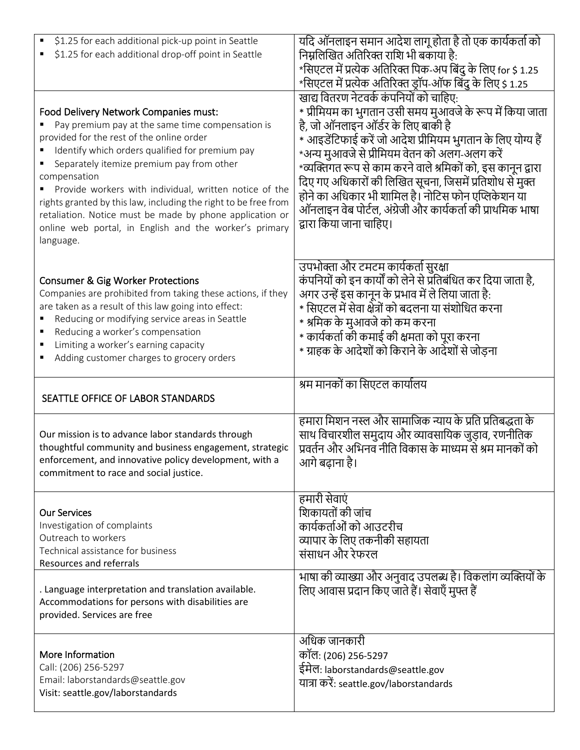| \$1.25 for each additional pick-up point in Seattle<br>\$1.25 for each additional drop-off point in Seattle                                                                                                                                                                                                                                                                                                                                                                                                            | यदि ऑनलाइन समान आदेश लागू होता है तो एक कार्यकर्ता को<br>निम्नलिखित अतिरिक्त राशि भी बकाया है:<br>*सिएटल में प्रत्येक अतिरिक्त पिक-अप बिंदु के लिए for \$ 1.25<br>*सिएटल में प्रत्येक अतिरिक्त ड्रॉप-ऑफ बिंदु के लिए \$ 1.25                                                                                                                                                                                                                                                                                                       |
|------------------------------------------------------------------------------------------------------------------------------------------------------------------------------------------------------------------------------------------------------------------------------------------------------------------------------------------------------------------------------------------------------------------------------------------------------------------------------------------------------------------------|------------------------------------------------------------------------------------------------------------------------------------------------------------------------------------------------------------------------------------------------------------------------------------------------------------------------------------------------------------------------------------------------------------------------------------------------------------------------------------------------------------------------------------|
| Food Delivery Network Companies must:<br>Pay premium pay at the same time compensation is<br>provided for the rest of the online order<br>Identify which orders qualified for premium pay<br>Separately itemize premium pay from other<br>compensation<br>Provide workers with individual, written notice of the<br>rights granted by this law, including the right to be free from<br>retaliation. Notice must be made by phone application or<br>online web portal, in English and the worker's primary<br>language. | खाद्य वितरण नेटवर्क कंपनियों को चाहिए:<br>* प्रीमियम का भुगतान उसी समय मुआवजे के रूप में किया जाता<br>है, जो ऑनलाइन ऑर्डर के लिए बाकी है<br>* आइडेंटिफाई करें जो आदेश प्रीमियम भुगतान के लिए योग्य हैं<br>*अन्य मुआवजे से प्रीमियम वेतन को अलग-अलग करें<br>*व्यक्तिगत रूप से काम करने वाले श्रमिकों को, इस कानून द्वारा<br>दिए गए अधिकारों की लिखित सूचना, जिसमें प्रतिशोध से मुक्त<br>होने का अधिकार भी शामिल है। नोटिस फोन एप्लिकेशन या<br>ऑनलाइन वेब पोर्टल, अंग्रेजी और कार्यकर्ता की प्राथमिक भाषा<br>द्वारा किया जाना चाहिए। |
| <b>Consumer &amp; Gig Worker Protections</b><br>Companies are prohibited from taking these actions, if they<br>are taken as a result of this law going into effect:<br>Reducing or modifying service areas in Seattle<br>Reducing a worker's compensation<br>Limiting a worker's earning capacity<br>Adding customer charges to grocery orders                                                                                                                                                                         | उपभोक्ता और टमटम कार्यकर्ता सुरक्षा<br>कंपनियों को इन कार्यों को लेने से प्रतिबंधित कर दिया जाता है,<br>अगर उन्हें इस कानून के प्रभाव में ले लिया जाता है:<br>* सिएटल में सेवा क्षेत्रों को बदलना या संशोधित करना<br>* श्रमिक के मुआवजे को कम करना<br>* कार्यकर्ता की कमाई की क्षमता को पूरा करना<br>* ग्राहक के आदेशों को किराने के आदेशों से जोड़ना                                                                                                                                                                              |
|                                                                                                                                                                                                                                                                                                                                                                                                                                                                                                                        | श्रम मानकों का सिएटल कार्यालय                                                                                                                                                                                                                                                                                                                                                                                                                                                                                                      |
| SEATTLE OFFICE OF LABOR STANDARDS                                                                                                                                                                                                                                                                                                                                                                                                                                                                                      |                                                                                                                                                                                                                                                                                                                                                                                                                                                                                                                                    |
| Our mission is to advance labor standards through<br>thoughtful community and business engagement, strategic<br>enforcement, and innovative policy development, with a<br>commitment to race and social justice.                                                                                                                                                                                                                                                                                                       | हमारा मिशन नस्ल और सामाजिक न्याय के प्रति प्रतिबद्धता के<br>साथ विचारशील समुदाय और व्यावसायिक जुड़ाव, रणनीतिक<br>प्रवर्तन और अभिनव नीति विकास के माध्यम से श्रम मानकों को<br>आगे बढ़ाना है।                                                                                                                                                                                                                                                                                                                                        |
| <b>Our Services</b><br>Investigation of complaints<br>Outreach to workers<br>Technical assistance for business<br><b>Resources and referrals</b>                                                                                                                                                                                                                                                                                                                                                                       | हमारी सेवाएं<br>शिकायतों की जांच<br>कार्यकर्ताओं को आउटरीच<br>व्यापार के लिए तकनीकी सहायता<br>संसाधन और रेफरल                                                                                                                                                                                                                                                                                                                                                                                                                      |
| . Language interpretation and translation available.<br>Accommodations for persons with disabilities are<br>provided. Services are free                                                                                                                                                                                                                                                                                                                                                                                | भाषा की व्याख्या और अनुवाद उपलब्ध है। विकलांग व्यक्तियों के<br>लिए आवास प्रदान किए जाते हैं। सेवाएँ मुफ्त हैं                                                                                                                                                                                                                                                                                                                                                                                                                      |